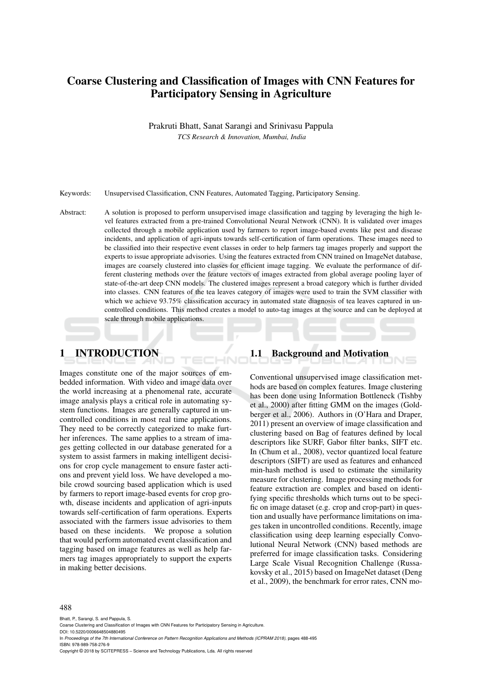# Coarse Clustering and Classification of Images with CNN Features for Participatory Sensing in Agriculture

Prakruti Bhatt, Sanat Sarangi and Srinivasu Pappula *TCS Research & Innovation, Mumbai, India*

Keywords: Unsupervised Classification, CNN Features, Automated Tagging, Participatory Sensing.

Abstract: A solution is proposed to perform unsupervised image classification and tagging by leveraging the high level features extracted from a pre-trained Convolutional Neural Network (CNN). It is validated over images collected through a mobile application used by farmers to report image-based events like pest and disease incidents, and application of agri-inputs towards self-certification of farm operations. These images need to be classified into their respective event classes in order to help farmers tag images properly and support the experts to issue appropriate advisories. Using the features extracted from CNN trained on ImageNet database, images are coarsely clustered into classes for efficient image tagging. We evaluate the performance of different clustering methods over the feature vectors of images extracted from global average pooling layer of state-of-the-art deep CNN models. The clustered images represent a broad category which is further divided into classes. CNN features of the tea leaves category of images were used to train the SVM classifier with which we achieve 93.75% classification accuracy in automated state diagnosis of tea leaves captured in uncontrolled conditions. This method creates a model to auto-tag images at the source and can be deployed at scale through mobile applications.

1 INTRODUCTION

Images constitute one of the major sources of embedded information. With video and image data over the world increasing at a phenomenal rate, accurate image analysis plays a critical role in automating system functions. Images are generally captured in uncontrolled conditions in most real time applications. They need to be correctly categorized to make further inferences. The same applies to a stream of images getting collected in our database generated for a system to assist farmers in making intelligent decisions for crop cycle management to ensure faster actions and prevent yield loss. We have developed a mobile crowd sourcing based application which is used by farmers to report image-based events for crop growth, disease incidents and application of agri-inputs towards self-certification of farm operations. Experts associated with the farmers issue advisories to them based on these incidents. We propose a solution that would perform automated event classification and tagging based on image features as well as help farmers tag images appropriately to support the experts in making better decisions.

### 1.1 Background and Motivation

Conventional unsupervised image classification methods are based on complex features. Image clustering has been done using Information Bottleneck (Tishby et al., 2000) after fitting GMM on the images (Goldberger et al., 2006). Authors in (O'Hara and Draper, 2011) present an overview of image classification and clustering based on Bag of features defined by local descriptors like SURF, Gabor filter banks, SIFT etc. In (Chum et al., 2008), vector quantized local feature descriptors (SIFT) are used as features and enhanced min-hash method is used to estimate the similarity measure for clustering. Image processing methods for feature extraction are complex and based on identifying specific thresholds which turns out to be specific on image dataset (e.g. crop and crop-part) in question and usually have performance limitations on images taken in uncontrolled conditions. Recently, image classification using deep learning especially Convolutional Neural Network (CNN) based methods are preferred for image classification tasks. Considering Large Scale Visual Recognition Challenge (Russakovsky et al., 2015) based on ImageNet dataset (Deng et al., 2009), the benchmark for error rates, CNN mo-

Bhatt, P., Sarangi, S. and Pappula, S. Coarse Clustering and Classification of Images with CNN Features for Participatory Sensing in Agriculture. DOI: 10.5220/0006648504880495 In *Proceedings of the 7th International Conference on Pattern Recognition Applications and Methods (ICPRAM 2018)*, pages 488-495 ISBN: 978-989-758-276-9 Copyright © 2018 by SCITEPRESS – Science and Technology Publications, Lda. All rights reserved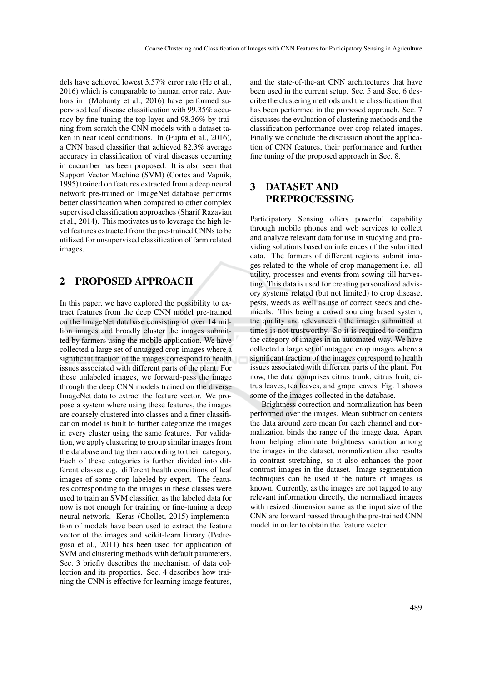dels have achieved lowest 3.57% error rate (He et al., 2016) which is comparable to human error rate. Authors in (Mohanty et al., 2016) have performed supervised leaf disease classification with 99.35% accuracy by fine tuning the top layer and 98.36% by training from scratch the CNN models with a dataset taken in near ideal conditions. In (Fujita et al., 2016), a CNN based classifier that achieved 82.3% average accuracy in classification of viral diseases occurring in cucumber has been proposed. It is also seen that Support Vector Machine (SVM) (Cortes and Vapnik, 1995) trained on features extracted from a deep neural network pre-trained on ImageNet database performs better classification when compared to other complex supervised classification approaches (Sharif Razavian et al., 2014). This motivates us to leverage the high level features extracted from the pre-trained CNNs to be utilized for unsupervised classification of farm related images.

### 2 PROPOSED APPROACH

In this paper, we have explored the possibility to extract features from the deep CNN model pre-trained on the ImageNet database consisting of over 14 million images and broadly cluster the images submitted by farmers using the mobile application. We have collected a large set of untagged crop images where a significant fraction of the images correspond to health issues associated with different parts of the plant. For these unlabeled images, we forward-pass the image through the deep CNN models trained on the diverse ImageNet data to extract the feature vector. We propose a system where using these features, the images are coarsely clustered into classes and a finer classification model is built to further categorize the images in every cluster using the same features. For validation, we apply clustering to group similar images from the database and tag them according to their category. Each of these categories is further divided into different classes e.g. different health conditions of leaf images of some crop labeled by expert. The features corresponding to the images in these classes were used to train an SVM classifier, as the labeled data for now is not enough for training or fine-tuning a deep neural network. Keras (Chollet, 2015) implementation of models have been used to extract the feature vector of the images and scikit-learn library (Pedregosa et al., 2011) has been used for application of SVM and clustering methods with default parameters. Sec. 3 briefly describes the mechanism of data collection and its properties. Sec. 4 describes how training the CNN is effective for learning image features,

and the state-of-the-art CNN architectures that have been used in the current setup. Sec. 5 and Sec. 6 describe the clustering methods and the classification that has been performed in the proposed approach. Sec. 7 discusses the evaluation of clustering methods and the classification performance over crop related images. Finally we conclude the discussion about the application of CNN features, their performance and further fine tuning of the proposed approach in Sec. 8.

## 3 DATASET AND PREPROCESSING

Participatory Sensing offers powerful capability through mobile phones and web services to collect and analyze relevant data for use in studying and providing solutions based on inferences of the submitted data. The farmers of different regions submit images related to the whole of crop management i.e. all utility, processes and events from sowing till harvesting. This data is used for creating personalized advisory systems related (but not limited) to crop disease, pests, weeds as well as use of correct seeds and chemicals. This being a crowd sourcing based system, the quality and relevance of the images submitted at times is not trustworthy. So it is required to confirm the category of images in an automated way. We have collected a large set of untagged crop images where a significant fraction of the images correspond to health issues associated with different parts of the plant. For now, the data comprises citrus trunk, citrus fruit, citrus leaves, tea leaves, and grape leaves. Fig. 1 shows some of the images collected in the database.

Brightness correction and normalization has been performed over the images. Mean subtraction centers the data around zero mean for each channel and normalization binds the range of the image data. Apart from helping eliminate brightness variation among the images in the dataset, normalization also results in contrast stretching, so it also enhances the poor contrast images in the dataset. Image segmentation techniques can be used if the nature of images is known. Currently, as the images are not tagged to any relevant information directly, the normalized images with resized dimension same as the input size of the CNN are forward passed through the pre-trained CNN model in order to obtain the feature vector.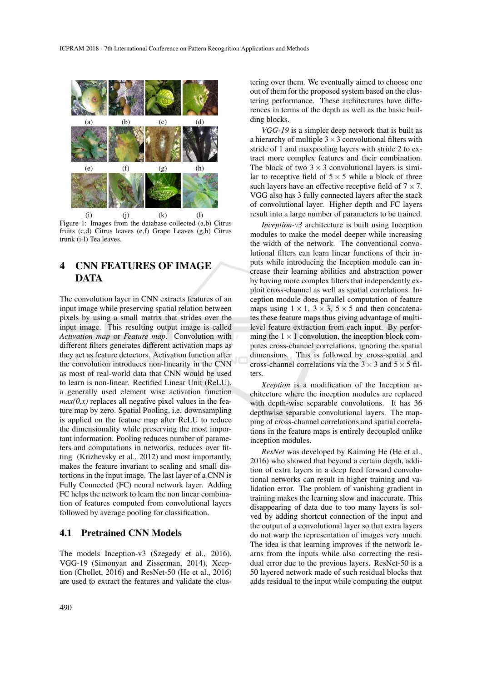

(i) (j) (k) (l) Figure 1: Images from the database collected (a,b) Citrus fruits (c,d) Citrus leaves (e,f) Grape Leaves (g,h) Citrus trunk (i-l) Tea leaves.

## 4 CNN FEATURES OF IMAGE DATA

The convolution layer in CNN extracts features of an input image while preserving spatial relation between pixels by using a small matrix that strides over the input image. This resulting output image is called *Activation map* or *Feature map*. Convolution with different filters generates different activation maps as they act as feature detectors. Activation function after the convolution introduces non-linearity in the CNN as most of real-world data that CNN would be used to learn is non-linear. Rectified Linear Unit (ReLU), a generally used element wise activation function  $max(0, x)$  replaces all negative pixel values in the feature map by zero. Spatial Pooling, i.e. downsampling is applied on the feature map after ReLU to reduce the dimensionality while preserving the most important information. Pooling reduces number of parameters and computations in networks, reduces over fitting (Krizhevsky et al., 2012) and most importantly, makes the feature invariant to scaling and small distortions in the input image. The last layer of a CNN is Fully Connected (FC) neural network layer. Adding FC helps the network to learn the non linear combination of features computed from convolutional layers followed by average pooling for classification.

### 4.1 Pretrained CNN Models

The models Inception-v3 (Szegedy et al., 2016), VGG-19 (Simonyan and Zisserman, 2014), Xception (Chollet, 2016) and ResNet-50 (He et al., 2016) are used to extract the features and validate the clus-

tering over them. We eventually aimed to choose one out of them for the proposed system based on the clustering performance. These architectures have differences in terms of the depth as well as the basic building blocks.

*VGG-19* is a simpler deep network that is built as a hierarchy of multiple  $3 \times 3$  convolutional filters with stride of 1 and maxpooling layers with stride 2 to extract more complex features and their combination. The block of two  $3 \times 3$  convolutional layers is similar to receptive field of  $5 \times 5$  while a block of three such layers have an effective receptive field of  $7 \times 7$ . VGG also has 3 fully connected layers after the stack of convolutional layer. Higher depth and FC layers result into a large number of parameters to be trained.

*Inception-v3* architecture is built using Inception modules to make the model deeper while increasing the width of the network. The conventional convolutional filters can learn linear functions of their inputs while introducing the Inception module can increase their learning abilities and abstraction power by having more complex filters that independently exploit cross-channel as well as spatial correlations. Inception module does parallel computation of feature maps using  $1 \times 1$ ,  $3 \times 3$ ,  $5 \times 5$  and then concatenates these feature maps thus giving advantage of multilevel feature extraction from each input. By performing the  $1 \times 1$  convolution, the inception block computes cross-channel correlations, ignoring the spatial dimensions. This is followed by cross-spatial and cross-channel correlations via the  $3 \times 3$  and  $5 \times 5$  filters.

*Xception* is a modification of the Inception architecture where the inception modules are replaced with depth-wise separable convolutions. It has 36 depthwise separable convolutional layers. The mapping of cross-channel correlations and spatial correlations in the feature maps is entirely decoupled unlike inception modules.

*ResNet* was developed by Kaiming He (He et al., 2016) who showed that beyond a certain depth, addition of extra layers in a deep feed forward convolutional networks can result in higher training and validation error. The problem of vanishing gradient in training makes the learning slow and inaccurate. This disappearing of data due to too many layers is solved by adding shortcut connection of the input and the output of a convolutional layer so that extra layers do not warp the representation of images very much. The idea is that learning improves if the network learns from the inputs while also correcting the residual error due to the previous layers. ResNet-50 is a 50 layered network made of such residual blocks that adds residual to the input while computing the output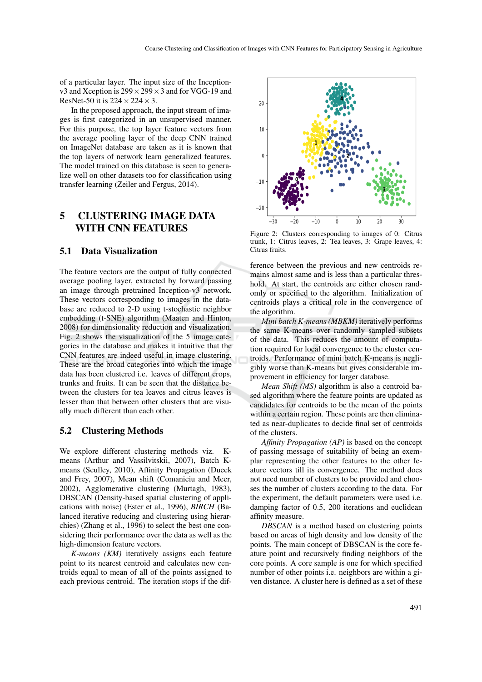of a particular layer. The input size of the Inceptionv3 and Xception is  $299 \times 299 \times 3$  and for VGG-19 and ResNet-50 it is  $224 \times 224 \times 3$ .

In the proposed approach, the input stream of images is first categorized in an unsupervised manner. For this purpose, the top layer feature vectors from the average pooling layer of the deep CNN trained on ImageNet database are taken as it is known that the top layers of network learn generalized features. The model trained on this database is seen to generalize well on other datasets too for classification using transfer learning (Zeiler and Fergus, 2014).

## 5 CLUSTERING IMAGE DATA WITH CNN FEATURES

#### 5.1 Data Visualization

The feature vectors are the output of fully connected average pooling layer, extracted by forward passing an image through pretrained Inception-v3 network. These vectors corresponding to images in the database are reduced to 2-D using t-stochastic neighbor embedding (t-SNE) algorithm (Maaten and Hinton, 2008) for dimensionality reduction and visualization. Fig. 2 shows the visualization of the 5 image categories in the database and makes it intuitive that the CNN features are indeed useful in image clustering. These are the broad categories into which the image data has been clustered i.e. leaves of different crops, trunks and fruits. It can be seen that the distance between the clusters for tea leaves and citrus leaves is lesser than that between other clusters that are visually much different than each other.

#### 5.2 Clustering Methods

We explore different clustering methods viz. Kmeans (Arthur and Vassilvitskii, 2007), Batch Kmeans (Sculley, 2010), Affinity Propagation (Dueck and Frey, 2007), Mean shift (Comaniciu and Meer, 2002), Agglomerative clustering (Murtagh, 1983), DBSCAN (Density-based spatial clustering of applications with noise) (Ester et al., 1996), *BIRCH* (Balanced iterative reducing and clustering using hierarchies) (Zhang et al., 1996) to select the best one considering their performance over the data as well as the high-dimension feature vectors.

*K-means (KM)* iteratively assigns each feature point to its nearest centroid and calculates new centroids equal to mean of all of the points assigned to each previous centroid. The iteration stops if the dif-



Figure 2: Clusters corresponding to images of 0: Citrus trunk, 1: Citrus leaves, 2: Tea leaves, 3: Grape leaves, 4: Citrus fruits.

ference between the previous and new centroids remains almost same and is less than a particular threshold. At start, the centroids are either chosen randomly or specified to the algorithm. Initialization of centroids plays a critical role in the convergence of the algorithm.

*Mini batch K-means (MBKM)* iteratively performs the same K-means over randomly sampled subsets of the data. This reduces the amount of computation required for local convergence to the cluster centroids. Performance of mini batch K-means is negligibly worse than K-means but gives considerable improvement in efficiency for larger database.

*Mean Shift (MS)* algorithm is also a centroid based algorithm where the feature points are updated as candidates for centroids to be the mean of the points within a certain region. These points are then eliminated as near-duplicates to decide final set of centroids of the clusters.

*Affinity Propagation (AP)* is based on the concept of passing message of suitability of being an exemplar representing the other features to the other feature vectors till its convergence. The method does not need number of clusters to be provided and chooses the number of clusters according to the data. For the experiment, the default parameters were used i.e. damping factor of 0.5, 200 iterations and euclidean affinity measure.

*DBSCAN* is a method based on clustering points based on areas of high density and low density of the points. The main concept of DBSCAN is the core feature point and recursively finding neighbors of the core points. A core sample is one for which specified number of other points i.e. neighbors are within a given distance. A cluster here is defined as a set of these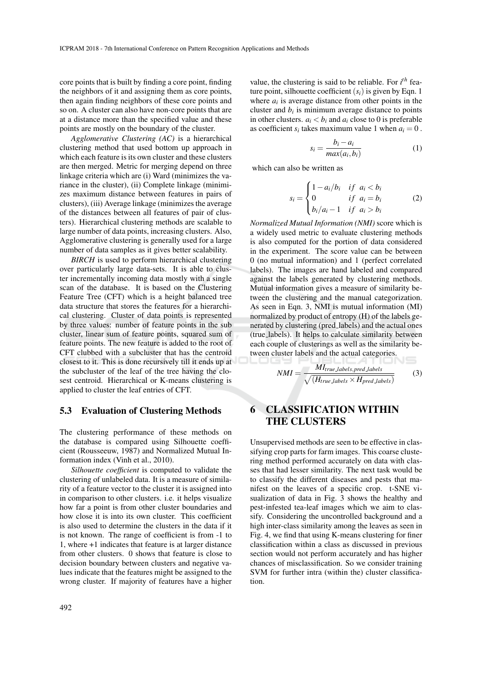core points that is built by finding a core point, finding the neighbors of it and assigning them as core points, then again finding neighbors of these core points and so on. A cluster can also have non-core points that are at a distance more than the specified value and these points are mostly on the boundary of the cluster.

*Agglomerative Clustering (AC)* is a hierarchical clustering method that used bottom up approach in which each feature is its own cluster and these clusters are then merged. Metric for merging depend on three linkage criteria which are (i) Ward (minimizes the variance in the cluster), (ii) Complete linkage (minimizes maximum distance between features in pairs of clusters), (iii) Average linkage (minimizes the average of the distances between all features of pair of clusters). Hierarchical clustering methods are scalable to large number of data points, increasing clusters. Also, Agglomerative clustering is generally used for a large number of data samples as it gives better scalability.

*BIRCH* is used to perform hierarchical clustering over particularly large data-sets. It is able to cluster incrementally incoming data mostly with a single scan of the database. It is based on the Clustering Feature Tree (CFT) which is a height balanced tree data structure that stores the features for a hierarchical clustering. Cluster of data points is represented by three values: number of feature points in the sub cluster, linear sum of feature points, squared sum of feature points. The new feature is added to the root of CFT clubbed with a subcluster that has the centroid closest to it. This is done recursively till it ends up at the subcluster of the leaf of the tree having the closest centroid. Hierarchical or K-means clustering is applied to cluster the leaf entries of CFT.

#### 5.3 Evaluation of Clustering Methods

The clustering performance of these methods on the database is compared using Silhouette coefficient (Rousseeuw, 1987) and Normalized Mutual Information index (Vinh et al., 2010).

*Silhouette coefficient* is computed to validate the clustering of unlabeled data. It is a measure of similarity of a feature vector to the cluster it is assigned into in comparison to other clusters. i.e. it helps visualize how far a point is from other cluster boundaries and how close it is into its own cluster. This coefficient is also used to determine the clusters in the data if it is not known. The range of coefficient is from -1 to 1, where +1 indicates that feature is at larger distance from other clusters. 0 shows that feature is close to decision boundary between clusters and negative values indicate that the features might be assigned to the wrong cluster. If majority of features have a higher value, the clustering is said to be reliable. For *i th* feature point, silhouette coefficient  $(s_i)$  is given by Eqn. 1 where  $a_i$  is average distance from other points in the cluster and  $b_i$  is minimum average distance to points in other clusters.  $a_i < b_i$  and  $a_i$  close to 0 is preferable as coefficient  $s_i$  takes maximum value 1 when  $a_i = 0$ .

$$
s_i = \frac{b_i - a_i}{\max(a_i, b_i)}\tag{1}
$$

which can also be written as

$$
s_i = \begin{cases} 1 - a_i/b_i & \text{if } a_i < b_i \\ 0 & \text{if } a_i = b_i \\ b_i/a_i - 1 & \text{if } a_i > b_i \end{cases} \tag{2}
$$

*Normalized Mutual Information (NMI)* score which is a widely used metric to evaluate clustering methods is also computed for the portion of data considered in the experiment. The score value can be between 0 (no mutual information) and 1 (perfect correlated labels). The images are hand labeled and compared against the labels generated by clustering methods. Mutual information gives a measure of similarity between the clustering and the manual categorization. As seen in Eqn. 3, NMI is mutual information (MI) normalized by product of entropy (H) of the labels generated by clustering (pred labels) and the actual ones (true labels). It helps to calculate similarity between each couple of clusterings as well as the similarity between cluster labels and the actual categories.

$$
NMI = \frac{MI_{true\text{labels}, pred\text{labels}}}{\sqrt{(H_{true\text{labels}} \times H_{pred\text{labels}})}}
$$
(3)

## 6 CLASSIFICATION WITHIN THE CLUSTERS

Unsupervised methods are seen to be effective in classifying crop parts for farm images. This coarse clustering method performed accurately on data with classes that had lesser similarity. The next task would be to classify the different diseases and pests that manifest on the leaves of a specific crop. t-SNE visualization of data in Fig. 3 shows the healthy and pest-infested tea-leaf images which we aim to classify. Considering the uncontrolled background and a high inter-class similarity among the leaves as seen in Fig. 4, we find that using K-means clustering for finer classification within a class as discussed in previous section would not perform accurately and has higher chances of misclassification. So we consider training SVM for further intra (within the) cluster classification.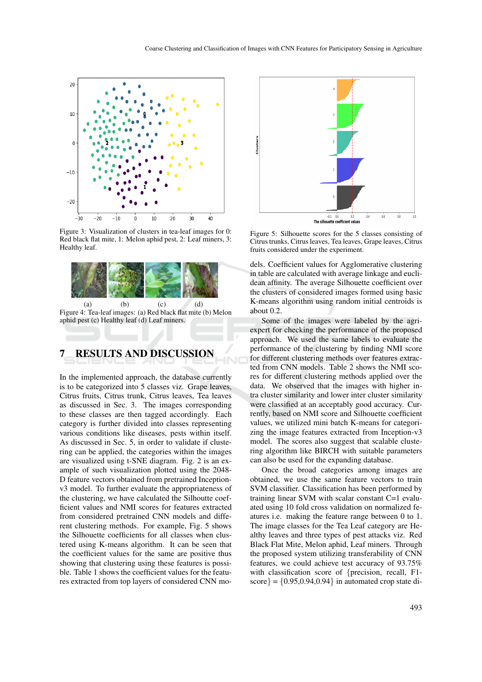

Figure 3: Visualization of clusters in tea-leaf images for 0: Red black flat mite, 1: Melon aphid pest, 2: Leaf miners, 3: Healthy leaf.



(a) (b) (c) (d) Figure 4: Tea-leaf images: (a) Red black flat mite (b) Melon aphid pest (c) Healthy leaf (d) Leaf miners.

### 7 RESULTS AND DISCUSSION

In the implemented approach, the database currently is to be categorized into 5 classes viz. Grape leaves, Citrus fruits, Citrus trunk, Citrus leaves, Tea leaves as discussed in Sec. 3. The images corresponding to these classes are then tagged accordingly. Each category is further divided into classes representing various conditions like diseases, pests within itself. As discussed in Sec. 5, in order to validate if clustering can be applied, the categories within the images are visualized using t-SNE diagram. Fig. 2 is an example of such visualization plotted using the 2048- D feature vectors obtained from pretrained Inceptionv3 model. To further evaluate the appropriateness of the clustering, we have calculated the Silhoutte coefficient values and NMI scores for features extracted from considered pretrained CNN models and different clustering methods. For example, Fig. 5 shows the Silhouette coefficients for all classes when clustered using K-means algorithm. It can be seen that the coefficient values for the same are positive thus showing that clustering using these features is possible. Table 1 shows the coefficient values for the features extracted from top layers of considered CNN mo-



Figure 5: Silhouette scores for the 5 classes consisting of Citrus trunks, Citrus leaves, Tea leaves, Grape leaves, Citrus fruits considered under the experiment.

dels. Coefficient values for Agglomerative clustering in table are calculated with average linkage and euclidean affinity. The average Silhouette coefficient over the clusters of considered images formed using basic K-means algorithm using random initial centroids is about 0.2.

Some of the images were labeled by the agriexpert for checking the performance of the proposed approach. We used the same labels to evaluate the performance of the clustering by finding NMI score for different clustering methods over features extracted from CNN models. Table 2 shows the NMI scores for different clustering methods applied over the data. We observed that the images with higher intra cluster similarity and lower inter cluster similarity were classified at an acceptably good accuracy. Currently, based on NMI score and Silhouette coefficient values, we utilized mini batch K-means for categorizing the image features extracted from Inception-v3 model. The scores also suggest that scalable clustering algorithm like BIRCH with suitable parameters can also be used for the expanding database.

Once the broad categories among images are obtained, we use the same feature vectors to train SVM classifier. Classification has been performed by training linear SVM with scalar constant C=1 evaluated using 10 fold cross validation on normalized features i.e. making the feature range between 0 to 1. The image classes for the Tea Leaf category are Healthy leaves and three types of pest attacks viz. Red Black Flat Mite, Melon aphid, Leaf miners. Through the proposed system utilizing transferability of CNN features, we could achieve test accuracy of 93.75% with classification score of {precision, recall, F1 score} =  ${0.95, 0.94, 0.94}$  in automated crop state di-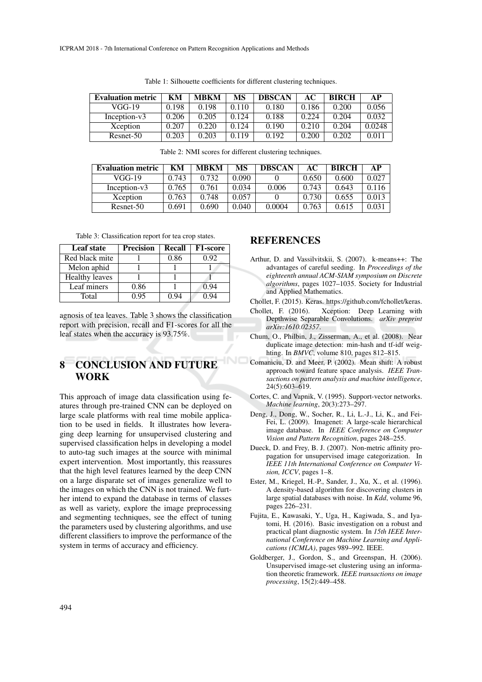| <b>Evaluation metric</b> | KМ    | <b>MBKM</b> | MS    | <b>DBSCAN</b> | AC    | <b>BIRCH</b> | AP     |
|--------------------------|-------|-------------|-------|---------------|-------|--------------|--------|
| VGG-19                   | 0.198 | 0.198       | 0.110 | 0.180         | 0.186 | 0.200        | 0.056  |
| Inception-v3             | 0.206 | 0.205       | 0.124 | 0.188         | 0.224 | 0.204        | 0.032  |
| Xception                 | 0.207 | 0.220       | 0.124 | 0.190         | 0.210 | 0.204        | 0.0248 |
| Resnet-50                | 0.203 | 0.203       | 0.119 | 0.192         | 0.200 | 0.202        | 0.011  |

Table 1: Silhouette coefficients for different clustering techniques.

Table 2: NMI scores for different clustering techniques.

| <b>Evaluation metric</b> | KМ    | <b>MBKM</b> | MS    | <b>DBSCAN</b> | AС    | <b>BIRCH</b> | AР    |
|--------------------------|-------|-------------|-------|---------------|-------|--------------|-------|
| VGG-19                   | 0.743 | 0.732       | 0.090 |               | 0.650 | 0.600        | 0.027 |
| Inception-v3             | 0.765 | 0.761       | 0.034 | 0.006         | 0.743 | 0.643        | 0.116 |
| Xception                 | 0.763 | 0.748       | 0.057 |               | 0.730 | 0.655        | 0.013 |
| Resnet-50                | 0.691 | 0.690       | 0.040 | 0.0004        | 0.763 | 0.615        | 0.031 |

Table 3: Classification report for tea crop states.

| <b>Leaf state</b>     | <b>Precision</b> | <b>Recall</b> | F1-score |
|-----------------------|------------------|---------------|----------|
| Red black mite        |                  | 0.86          | 0.92     |
| Melon aphid           |                  |               |          |
| <b>Healthy leaves</b> |                  |               |          |
| Leaf miners           | 0.86             |               | 0.94     |
| Total                 | 0.95             | 0.94          | 0.94     |

agnosis of tea leaves. Table 3 shows the classification report with precision, recall and F1-scores for all the leaf states when the accuracy is 93.75%.

## 8 CONCLUSION AND FUTURE WORK

This approach of image data classification using features through pre-trained CNN can be deployed on large scale platforms with real time mobile application to be used in fields. It illustrates how leveraging deep learning for unsupervised clustering and supervised classification helps in developing a model to auto-tag such images at the source with minimal expert intervention. Most importantly, this reassures that the high level features learned by the deep CNN on a large disparate set of images generalize well to the images on which the CNN is not trained. We further intend to expand the database in terms of classes as well as variety, explore the image preprocessing and segmenting techniques, see the effect of tuning the parameters used by clustering algorithms, and use different classifiers to improve the performance of the system in terms of accuracy and efficiency.

### REFERENCES

- Arthur, D. and Vassilvitskii, S. (2007). k-means++: The advantages of careful seeding. In *Proceedings of the eighteenth annual ACM-SIAM symposium on Discrete algorithms*, pages 1027–1035. Society for Industrial and Applied Mathematics.
- Chollet, F. (2015). Keras. https://github.com/fchollet/keras.
- Chollet, F. (2016). Xception: Deep Learning with Depthwise Separable Convolutions. *arXiv preprint arXiv:1610.02357*.
- Chum, O., Philbin, J., Zisserman, A., et al. (2008). Near duplicate image detection: min-hash and tf-idf weighting. In *BMVC*, volume 810, pages 812–815.
- Comaniciu, D. and Meer, P. (2002). Mean shift: A robust approach toward feature space analysis. *IEEE Transactions on pattern analysis and machine intelligence*, 24(5):603–619.
- Cortes, C. and Vapnik, V. (1995). Support-vector networks. *Machine learning*, 20(3):273–297.
- Deng, J., Dong, W., Socher, R., Li, L.-J., Li, K., and Fei-Fei, L. (2009). Imagenet: A large-scale hierarchical image database. In *IEEE Conference on Computer Vision and Pattern Recognition*, pages 248–255.
- Dueck, D. and Frey, B. J. (2007). Non-metric affinity propagation for unsupervised image categorization. In *IEEE 11th International Conference on Computer Vision, ICCV*, pages 1–8.
- Ester, M., Kriegel, H.-P., Sander, J., Xu, X., et al. (1996). A density-based algorithm for discovering clusters in large spatial databases with noise. In *Kdd*, volume 96, pages 226–231.
- Fujita, E., Kawasaki, Y., Uga, H., Kagiwada, S., and Iyatomi, H. (2016). Basic investigation on a robust and practical plant diagnostic system. In *15th IEEE International Conference on Machine Learning and Applications (ICMLA)*, pages 989–992. IEEE.
- Goldberger, J., Gordon, S., and Greenspan, H. (2006). Unsupervised image-set clustering using an information theoretic framework. *IEEE transactions on image processing*, 15(2):449–458.